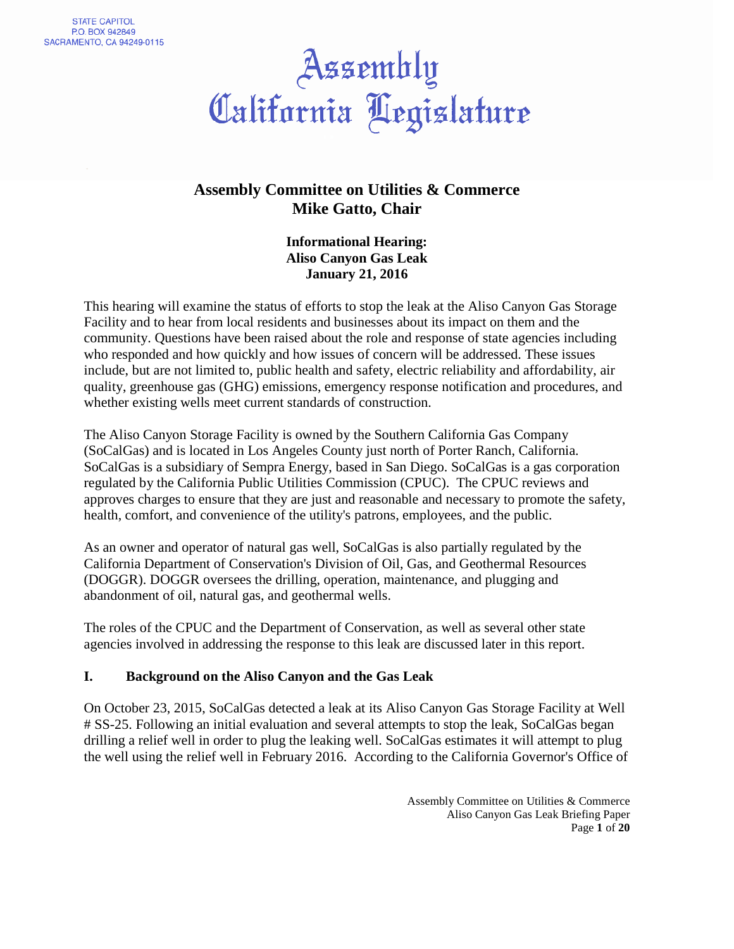# Assembly<br>California Aegislature

### **Assembly Committee on Utilities & Commerce Mike Gatto, Chair**

 **Informational Hearing: Aliso Canyon Gas Leak January 21, 2016** 

 This hearing will examine the status of efforts to stop the leak at the Aliso Canyon Gas Storage Facility and to hear from local residents and businesses about its impact on them and the community. Questions have been raised about the role and response of state agencies including who responded and how quickly and how issues of concern will be addressed. These issues include, but are not limited to, public health and safety, electric reliability and affordability, air quality, greenhouse gas (GHG) emissions, emergency response notification and procedures, and whether existing wells meet current standards of construction.

 The Aliso Canyon Storage Facility is owned by the Southern California Gas Company (SoCalGas) and is located in Los Angeles County just north of Porter Ranch, California. SoCalGas is a subsidiary of Sempra Energy, based in San Diego. SoCalGas is a gas corporation regulated by the California Public Utilities Commission (CPUC). The CPUC reviews and approves charges to ensure that they are just and reasonable and necessary to promote the safety, health, comfort, and convenience of the utility's patrons, employees, and the public.

 As an owner and operator of natural gas well, SoCalGas is also partially regulated by the California Department of Conservation's Division of Oil, Gas, and Geothermal Resources (DOGGR). DOGGR oversees the drilling, operation, maintenance, and plugging and abandonment of oil, natural gas, and geothermal wells.

 The roles of the CPUC and the Department of Conservation, as well as several other state agencies involved in addressing the response to this leak are discussed later in this report.

#### **I. Background on the Aliso Canyon and the Gas Leak**

 On October 23, 2015, SoCalGas detected a leak at its Aliso Canyon Gas Storage Facility at Well # SS-25. Following an initial evaluation and several attempts to stop the leak, SoCalGas began drilling a relief well in order to plug the leaking well. SoCalGas estimates it will attempt to plug the well using the relief well in February 2016. According to the California Governor's Office of

> Assembly Committee on Utilities & Commerce Aliso Canyon Gas Leak Briefing Paper Page **1** of **20**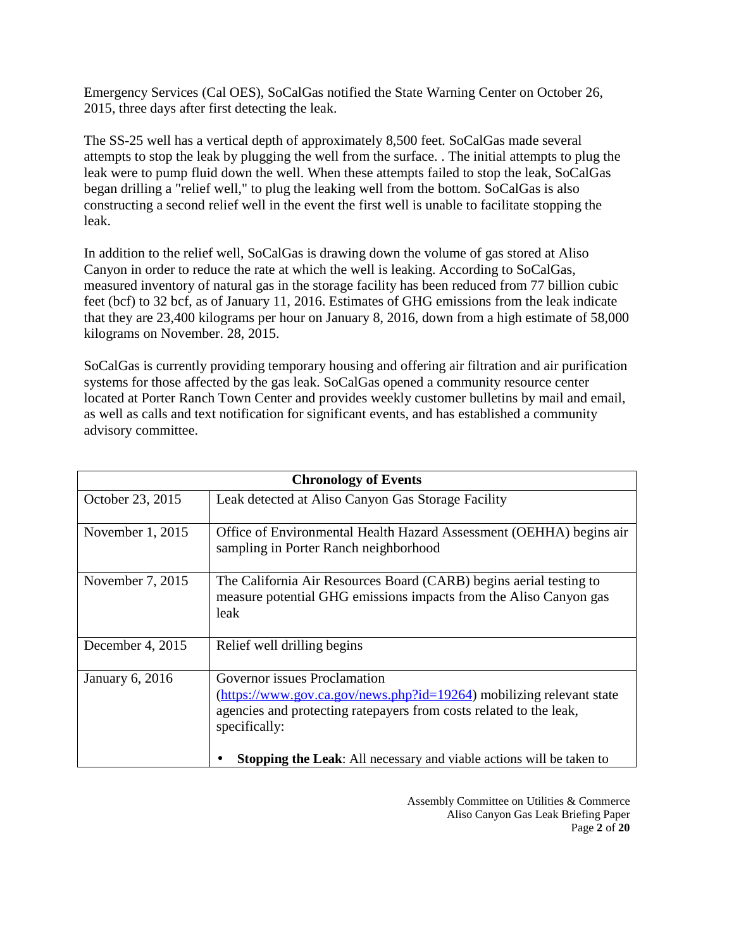Emergency Services (Cal OES), SoCalGas notified the State Warning Center on October 26, 2015, three days after first detecting the leak.

 The SS-25 well has a vertical depth of approximately 8,500 feet. SoCalGas made several attempts to stop the leak by plugging the well from the surface. . The initial attempts to plug the leak were to pump fluid down the well. When these attempts failed to stop the leak, SoCalGas began drilling a "relief well," to plug the leaking well from the bottom. SoCalGas is also constructing a second relief well in the event the first well is unable to facilitate stopping the leak.

 In addition to the relief well, SoCalGas is drawing down the volume of gas stored at Aliso Canyon in order to reduce the rate at which the well is leaking. According to SoCalGas, measured inventory of natural gas in the storage facility has been reduced from 77 billion cubic feet (bcf) to 32 bcf, as of January 11, 2016. Estimates of GHG emissions from the leak indicate that they are 23,400 kilograms per hour on January 8, 2016, down from a high estimate of 58,000 kilograms on November. 28, 2015.

 SoCalGas is currently providing temporary housing and offering air filtration and air purification systems for those affected by the gas leak. SoCalGas opened a community resource center located at Porter Ranch Town Center and provides weekly customer bulletins by mail and email, as well as calls and text notification for significant events, and has established a community advisory committee.

| <b>Chronology of Events</b> |                                                                                                                                                                                                                                                                            |  |  |
|-----------------------------|----------------------------------------------------------------------------------------------------------------------------------------------------------------------------------------------------------------------------------------------------------------------------|--|--|
| October 23, 2015            | Leak detected at Aliso Canyon Gas Storage Facility                                                                                                                                                                                                                         |  |  |
| November $1, 2015$          | Office of Environmental Health Hazard Assessment (OEHHA) begins air<br>sampling in Porter Ranch neighborhood                                                                                                                                                               |  |  |
| November 7, 2015            | The California Air Resources Board (CARB) begins aerial testing to<br>measure potential GHG emissions impacts from the Aliso Canyon gas<br>leak                                                                                                                            |  |  |
| December 4, 2015            | Relief well drilling begins                                                                                                                                                                                                                                                |  |  |
| January 6, 2016             | Governor issues Proclamation<br>(https://www.gov.ca.gov/news.php?id=19264) mobilizing relevant state<br>agencies and protecting ratepayers from costs related to the leak,<br>specifically:<br><b>Stopping the Leak:</b> All necessary and viable actions will be taken to |  |  |

 Assembly Committee on Utilities & Commerce Aliso Canyon Gas Leak Briefing Paper Page **2** of **20**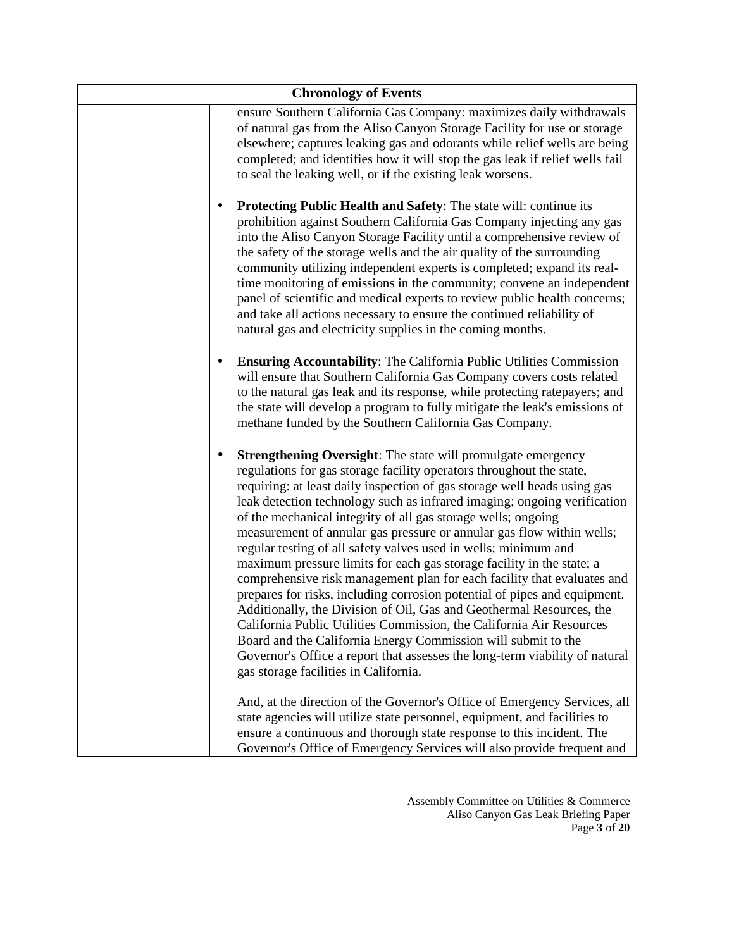| <b>Chronology of Events</b>                                                                                                                                                                                                                                                                                                                                                                                                                                                                                                                                                                                                                                                                                                                                                                                                                                                                                                                                                                                                                                                                |
|--------------------------------------------------------------------------------------------------------------------------------------------------------------------------------------------------------------------------------------------------------------------------------------------------------------------------------------------------------------------------------------------------------------------------------------------------------------------------------------------------------------------------------------------------------------------------------------------------------------------------------------------------------------------------------------------------------------------------------------------------------------------------------------------------------------------------------------------------------------------------------------------------------------------------------------------------------------------------------------------------------------------------------------------------------------------------------------------|
| ensure Southern California Gas Company: maximizes daily withdrawals<br>of natural gas from the Aliso Canyon Storage Facility for use or storage<br>elsewhere; captures leaking gas and odorants while relief wells are being<br>completed; and identifies how it will stop the gas leak if relief wells fail<br>to seal the leaking well, or if the existing leak worsens.                                                                                                                                                                                                                                                                                                                                                                                                                                                                                                                                                                                                                                                                                                                 |
| <b>Protecting Public Health and Safety:</b> The state will: continue its<br>prohibition against Southern California Gas Company injecting any gas<br>into the Aliso Canyon Storage Facility until a comprehensive review of<br>the safety of the storage wells and the air quality of the surrounding<br>community utilizing independent experts is completed; expand its real-<br>time monitoring of emissions in the community; convene an independent<br>panel of scientific and medical experts to review public health concerns;<br>and take all actions necessary to ensure the continued reliability of<br>natural gas and electricity supplies in the coming months.                                                                                                                                                                                                                                                                                                                                                                                                               |
| <b>Ensuring Accountability:</b> The California Public Utilities Commission<br>will ensure that Southern California Gas Company covers costs related<br>to the natural gas leak and its response, while protecting ratepayers; and<br>the state will develop a program to fully mitigate the leak's emissions of<br>methane funded by the Southern California Gas Company.                                                                                                                                                                                                                                                                                                                                                                                                                                                                                                                                                                                                                                                                                                                  |
| <b>Strengthening Oversight:</b> The state will promulgate emergency<br>regulations for gas storage facility operators throughout the state,<br>requiring: at least daily inspection of gas storage well heads using gas<br>leak detection technology such as infrared imaging; ongoing verification<br>of the mechanical integrity of all gas storage wells; ongoing<br>measurement of annular gas pressure or annular gas flow within wells;<br>regular testing of all safety valves used in wells; minimum and<br>maximum pressure limits for each gas storage facility in the state; a<br>comprehensive risk management plan for each facility that evaluates and<br>prepares for risks, including corrosion potential of pipes and equipment.<br>Additionally, the Division of Oil, Gas and Geothermal Resources, the<br>California Public Utilities Commission, the California Air Resources<br>Board and the California Energy Commission will submit to the<br>Governor's Office a report that assesses the long-term viability of natural<br>gas storage facilities in California. |
| And, at the direction of the Governor's Office of Emergency Services, all<br>state agencies will utilize state personnel, equipment, and facilities to<br>ensure a continuous and thorough state response to this incident. The<br>Governor's Office of Emergency Services will also provide frequent and                                                                                                                                                                                                                                                                                                                                                                                                                                                                                                                                                                                                                                                                                                                                                                                  |

 Assembly Committee on Utilities & Commerce Aliso Canyon Gas Leak Briefing Paper Page **3** of **20**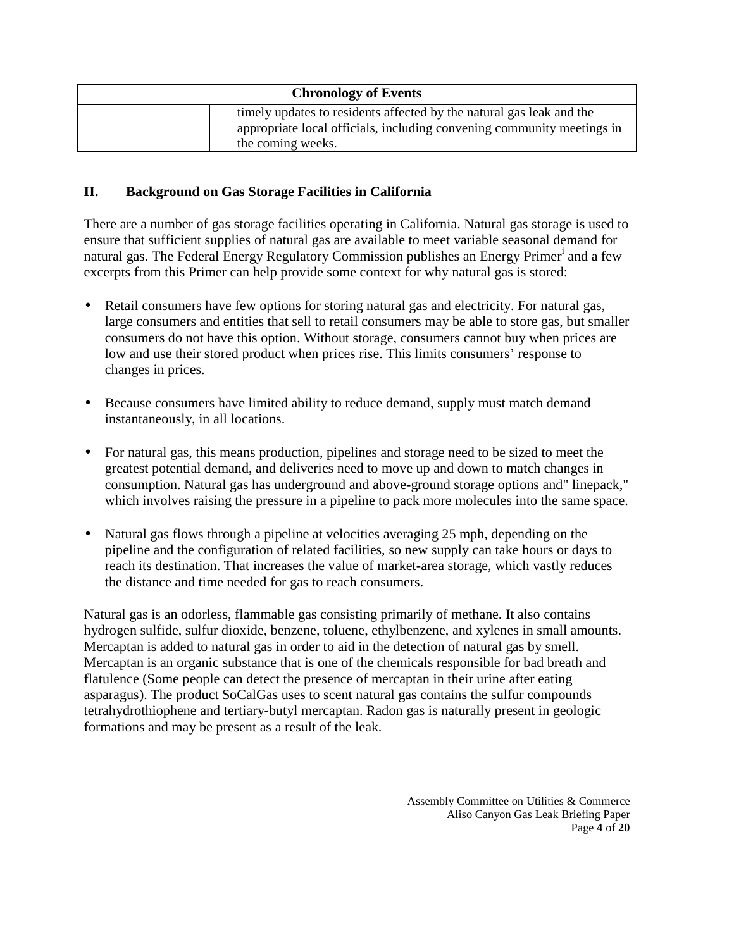| <b>Chronology of Events</b>                                                                                                                                         |
|---------------------------------------------------------------------------------------------------------------------------------------------------------------------|
| timely updates to residents affected by the natural gas leak and the<br>appropriate local officials, including convening community meetings in<br>the coming weeks. |

#### **II. Background on Gas Storage Facilities in California**

 There are a number of gas storage facilities operating in California. Natural gas storage is used to ensure that sufficient supplies of natural gas are available to meet variable seasonal demand for natural gas. The Federal Energy Regulatory Commission publishes an Energy Primer<sup>i</sup> and a few excerpts from this Primer can help provide some context for why natural gas is stored:

- Retail consumers have few options for storing natural gas and electricity. For natural gas, large consumers and entities that sell to retail consumers may be able to store gas, but smaller consumers do not have this option. Without storage, consumers cannot buy when prices are low and use their stored product when prices rise. This limits consumers' response to changes in prices.
- Because consumers have limited ability to reduce demand, supply must match demand instantaneously, in all locations.
- For natural gas, this means production, pipelines and storage need to be sized to meet the greatest potential demand, and deliveries need to move up and down to match changes in consumption. Natural gas has underground and above-ground storage options and" linepack," which involves raising the pressure in a pipeline to pack more molecules into the same space.
- Natural gas flows through a pipeline at velocities averaging 25 mph, depending on the pipeline and the configuration of related facilities, so new supply can take hours or days to reach its destination. That increases the value of market-area storage, which vastly reduces the distance and time needed for gas to reach consumers.

 Natural gas is an odorless, flammable gas consisting primarily of methane. It also contains hydrogen sulfide, sulfur dioxide, benzene, toluene, ethylbenzene, and xylenes in small amounts. Mercaptan is added to natural gas in order to aid in the detection of natural gas by smell. Mercaptan is an organic substance that is one of the chemicals responsible for bad breath and flatulence (Some people can detect the presence of mercaptan in their urine after eating asparagus). The product SoCalGas uses to scent natural gas contains the sulfur compounds tetrahydrothiophene and tertiary-butyl mercaptan. Radon gas is naturally present in geologic formations and may be present as a result of the leak.

> Assembly Committee on Utilities & Commerce Aliso Canyon Gas Leak Briefing Paper Page **4** of **20**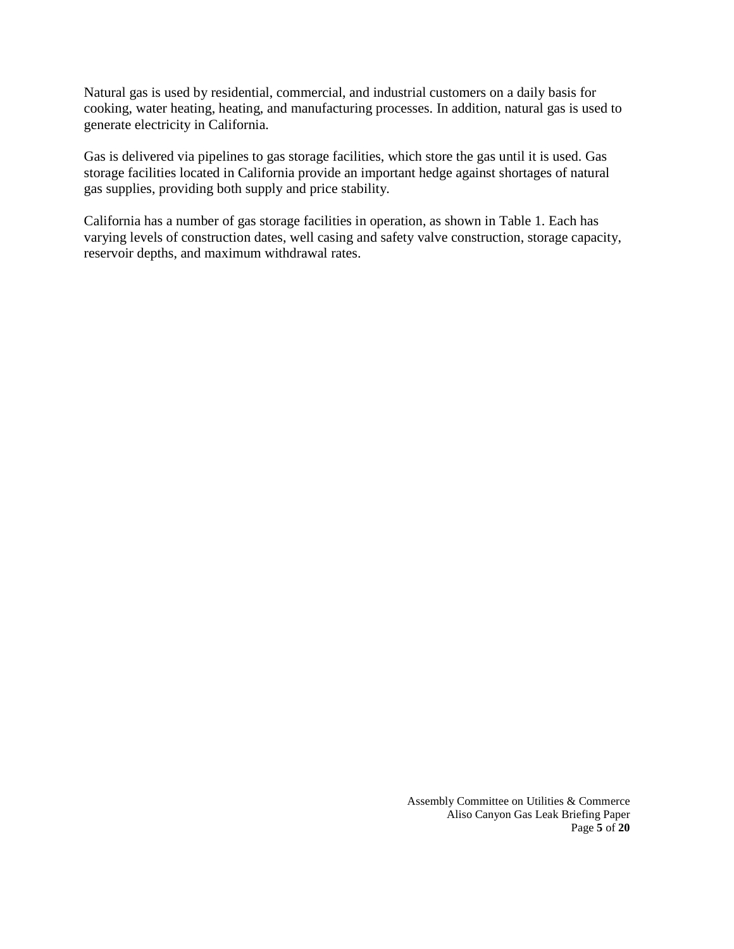Natural gas is used by residential, commercial, and industrial customers on a daily basis for cooking, water heating, heating, and manufacturing processes. In addition, natural gas is used to generate electricity in California.

 Gas is delivered via pipelines to gas storage facilities, which store the gas until it is used. Gas storage facilities located in California provide an important hedge against shortages of natural gas supplies, providing both supply and price stability.

 California has a number of gas storage facilities in operation, as shown in Table 1. Each has varying levels of construction dates, well casing and safety valve construction, storage capacity, reservoir depths, and maximum withdrawal rates.

> Assembly Committee on Utilities & Commerce Aliso Canyon Gas Leak Briefing Paper Page **5** of **20**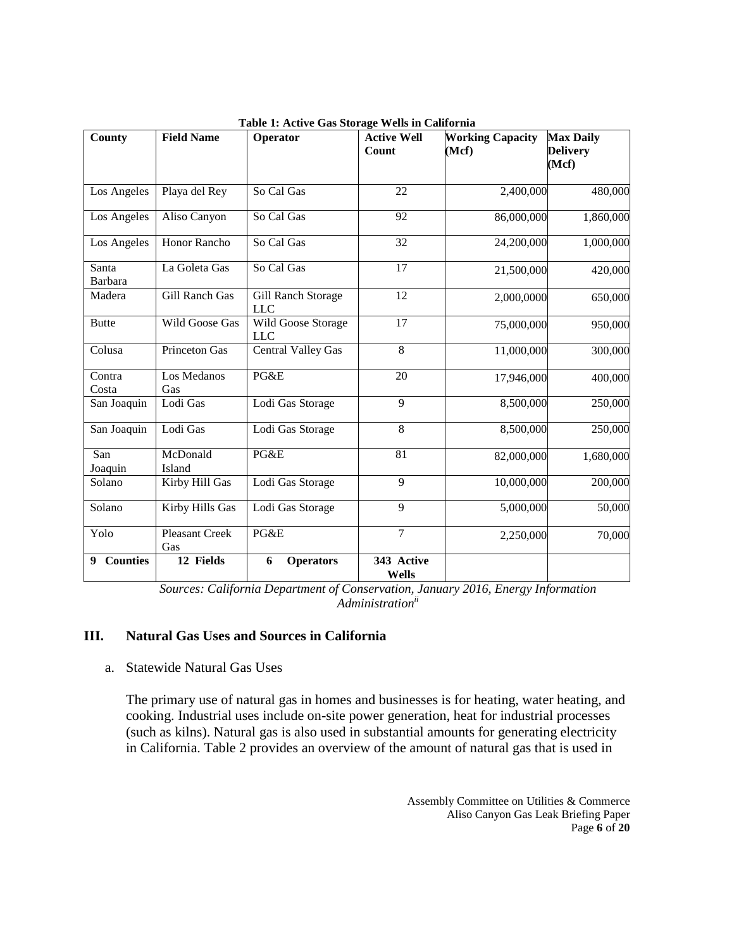| County               | <b>Field Name</b>     | Operator                         | <b>Active Well</b><br>Count | <b>Working Capacity</b><br>(Mcf) | <b>Max Daily</b><br><b>Delivery</b><br>(Mcf) |
|----------------------|-----------------------|----------------------------------|-----------------------------|----------------------------------|----------------------------------------------|
|                      |                       |                                  |                             |                                  |                                              |
| Los Angeles          | Playa del Rey         | So Cal Gas                       | 22                          | 2,400,000                        | 480,000                                      |
| Los Angeles          | Aliso Canyon          | So Cal Gas                       | 92                          | 86,000,000                       | 1,860,000                                    |
| Los Angeles          | Honor Rancho          | So Cal Gas                       | 32                          | 24,200,000                       | 1,000,000                                    |
| Santa<br>Barbara     | La Goleta Gas         | So Cal Gas                       | 17                          | 21,500,000                       | 420,000                                      |
| Madera               | <b>Gill Ranch Gas</b> | Gill Ranch Storage<br><b>LLC</b> | 12                          | 2,000,0000                       | 650,000                                      |
| <b>Butte</b>         | Wild Goose Gas        | Wild Goose Storage<br><b>LLC</b> | 17                          | 75,000,000                       | 950,000                                      |
| Colusa               | <b>Princeton Gas</b>  | <b>Central Valley Gas</b>        | $\overline{8}$              | 11,000,000                       | 300,000                                      |
| Contra<br>Costa      | Los Medanos<br>Gas    | PG&E                             | 20                          | 17,946,000                       | 400,000                                      |
| San Joaquin          | Lodi Gas              | Lodi Gas Storage                 | 9                           | 8,500,000                        | 250,000                                      |
| San Joaquin          | Lodi Gas              | Lodi Gas Storage                 | 8                           | 8,500,000                        | 250,000                                      |
| San<br>Joaquin       | McDonald<br>Island    | PG&E                             | 81                          | 82,000,000                       | 1,680,000                                    |
| Solano               | Kirby Hill Gas        | Lodi Gas Storage                 | 9                           | 10,000,000                       | 200,000                                      |
| Solano               | Kirby Hills Gas       | Lodi Gas Storage                 | 9                           | 5,000,000                        | 50,000                                       |
| Yolo                 | Pleasant Creek<br>Gas | PG&E                             | $\overline{7}$              | 2,250,000                        | 70,000                                       |
| <b>Counties</b><br>9 | 12 Fields             | 6<br><b>Operators</b>            | 343 Active<br>Wells         |                                  |                                              |

 **Table 1: Active Gas Storage Wells in California** 

*Sources: California Department of Conservation, January 2016, Energy Information Administrationii* 

#### **III. Natural Gas Uses and Sources in California**

#### a. Statewide Natural Gas Uses

 The primary use of natural gas in homes and businesses is for heating, water heating, and cooking. Industrial uses include on-site power generation, heat for industrial processes (such as kilns). Natural gas is also used in substantial amounts for generating electricity in California. Table 2 provides an overview of the amount of natural gas that is used in

> Assembly Committee on Utilities & Commerce Aliso Canyon Gas Leak Briefing Paper Page **6** of **20**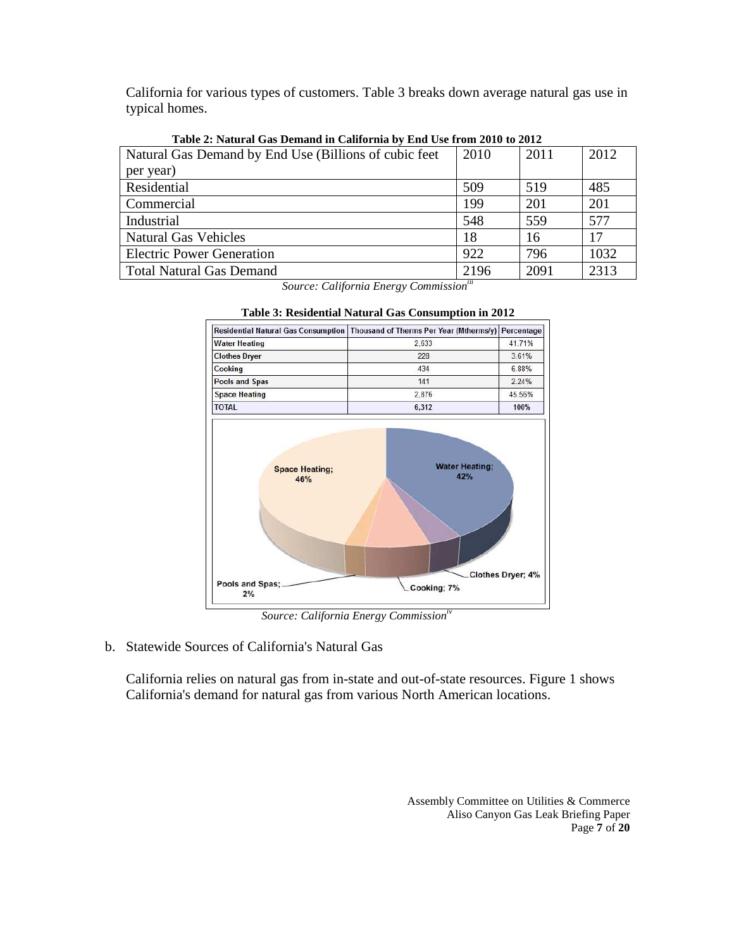California for various types of customers. Table 3 breaks down average natural gas use in typical homes.

| Tubic 2. Futurul Oub Demana in Cambrina by End Obe Hom 2010 to 2012 |      |      |      |
|---------------------------------------------------------------------|------|------|------|
| Natural Gas Demand by End Use (Billions of cubic feet)              | 2010 | 2011 | 2012 |
| per year)                                                           |      |      |      |
| Residential                                                         | 509  | 519  | 485  |
| Commercial                                                          | 199  | 201  | 201  |
| Industrial                                                          | 548  | 559  | 577  |
| <b>Natural Gas Vehicles</b>                                         | 18   | 16   | 17   |
| <b>Electric Power Generation</b>                                    | 922  | 796  | 1032 |
| Total Natural Gas Demand                                            | 2196 | 2091 | 2313 |

 **Table 2: Natural Gas Demand in California by End Use from 2010 to 2012** 

 *Source: California Energy Commissioniii* 



 **Table 3: Residential Natural Gas Consumption in 2012** 

 *Source: California Energy Commissioniv* 

b. Statewide Sources of California's Natural Gas

 California relies on natural gas from in-state and out-of-state resources. Figure 1 shows California's demand for natural gas from various North American locations.

> Assembly Committee on Utilities & Commerce Aliso Canyon Gas Leak Briefing Paper Page **7** of **20**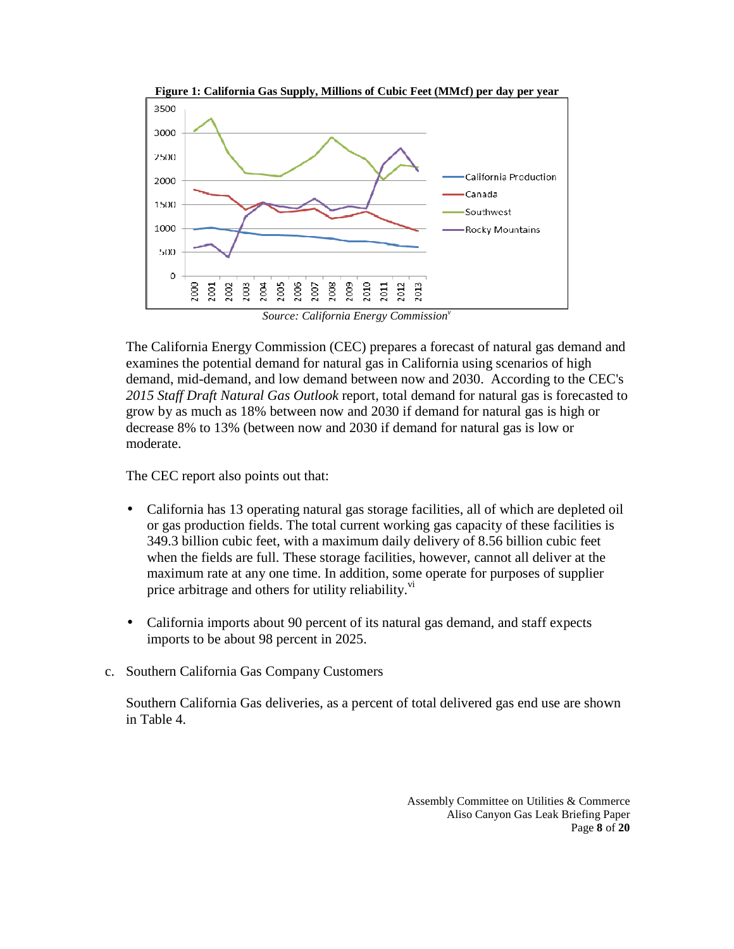

*Source: California Energy Commission*<sup>*r*</sup>

 The California Energy Commission (CEC) prepares a forecast of natural gas demand and examines the potential demand for natural gas in California using scenarios of high demand, mid-demand, and low demand between now and 2030. According to the CEC's  *2015 Staff Draft Natural Gas Outlook* report*,* total demand for natural gas is forecasted to grow by as much as 18% between now and 2030 if demand for natural gas is high or decrease 8% to 13% (between now and 2030 if demand for natural gas is low or moderate.

moderate.<br>The CEC report also points out that:

- California has 13 operating natural gas storage facilities, all of which are depleted oil or gas production fields. The total current working gas capacity of these facilities is 349.3 billion cubic feet, with a maximum daily delivery of 8.56 billion cubic feet when the fields are full. These storage facilities, however, cannot all deliver at the maximum rate at any one time. In addition, some operate for purposes of supplier price arbitrage and others for utility reliability.<sup>vi</sup>
- California imports about 90 percent of its natural gas demand, and staff expects imports to be about 98 percent in 2025.
- c. Southern California Gas Company Customers

 Southern California Gas deliveries, as a percent of total delivered gas end use are shown in Table 4.

> Assembly Committee on Utilities & Commerce Aliso Canyon Gas Leak Briefing Paper Page **8** of **20**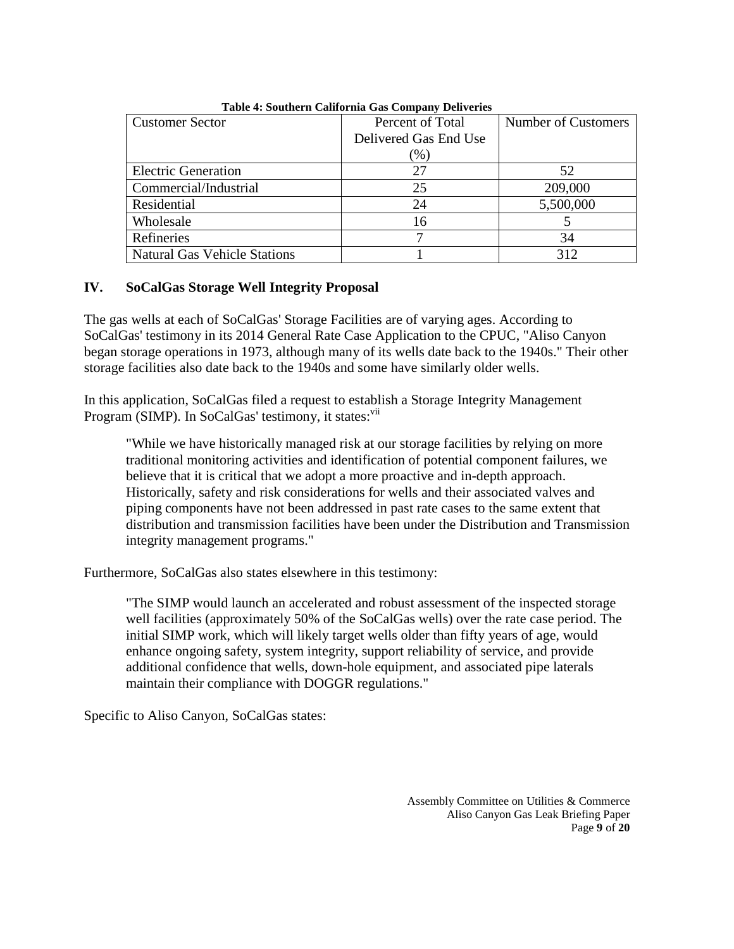| <b>Customer Sector</b>              | Percent of Total      | <b>Number of Customers</b> |
|-------------------------------------|-----------------------|----------------------------|
|                                     | Delivered Gas End Use |                            |
|                                     | $\%$                  |                            |
| <b>Electric Generation</b>          | 27                    | 52                         |
| Commercial/Industrial               | 25                    | 209,000                    |
| Residential                         | 24                    | 5,500,000                  |
| Wholesale                           | 16                    |                            |
| Refineries                          |                       | 34                         |
| <b>Natural Gas Vehicle Stations</b> |                       | 312                        |

 **Table 4: Southern California Gas Company Deliveries** 

#### **IV. SoCalGas Storage Well Integrity Proposal**

 The gas wells at each of SoCalGas' Storage Facilities are of varying ages. According to SoCalGas' testimony in its 2014 General Rate Case Application to the CPUC, "Aliso Canyon began storage operations in 1973, although many of its wells date back to the 1940s." Their other storage facilities also date back to the 1940s and some have similarly older wells.

 In this application, SoCalGas filed a request to establish a Storage Integrity Management Program (SIMP). In SoCalGas' testimony, it states:<sup>vii</sup>

 "While we have historically managed risk at our storage facilities by relying on more traditional monitoring activities and identification of potential component failures, we believe that it is critical that we adopt a more proactive and in-depth approach. Historically, safety and risk considerations for wells and their associated valves and piping components have not been addressed in past rate cases to the same extent that distribution and transmission facilities have been under the Distribution and Transmission integrity management programs."

Furthermore, SoCalGas also states elsewhere in this testimony:

 "The SIMP would launch an accelerated and robust assessment of the inspected storage well facilities (approximately 50% of the SoCalGas wells) over the rate case period. The initial SIMP work, which will likely target wells older than fifty years of age, would enhance ongoing safety, system integrity, support reliability of service, and provide additional confidence that wells, down-hole equipment, and associated pipe laterals maintain their compliance with DOGGR regulations."

Specific to Aliso Canyon, SoCalGas states:

 Assembly Committee on Utilities & Commerce Aliso Canyon Gas Leak Briefing Paper Page **9** of **20**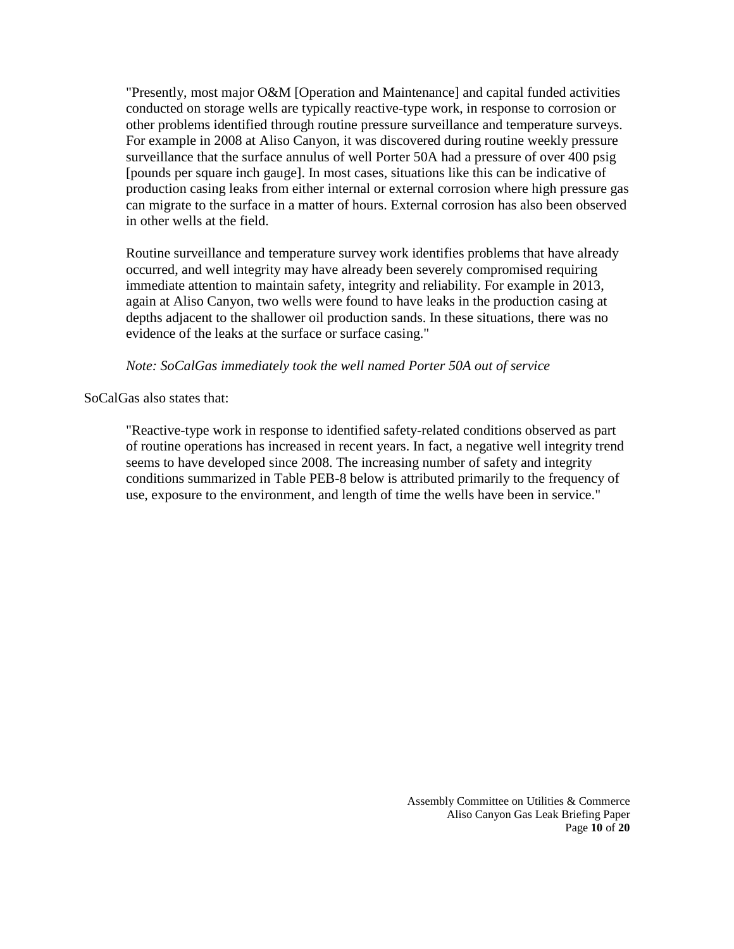"Presently, most major O&M [Operation and Maintenance] and capital funded activities conducted on storage wells are typically reactive-type work, in response to corrosion or other problems identified through routine pressure surveillance and temperature surveys. For example in 2008 at Aliso Canyon, it was discovered during routine weekly pressure surveillance that the surface annulus of well Porter 50A had a pressure of over 400 psig [pounds per square inch gauge]. In most cases, situations like this can be indicative of production casing leaks from either internal or external corrosion where high pressure gas can migrate to the surface in a matter of hours. External corrosion has also been observed in other wells at the field.

 Routine surveillance and temperature survey work identifies problems that have already occurred, and well integrity may have already been severely compromised requiring immediate attention to maintain safety, integrity and reliability. For example in 2013, again at Aliso Canyon, two wells were found to have leaks in the production casing at depths adjacent to the shallower oil production sands. In these situations, there was no evidence of the leaks at the surface or surface casing."

 *Note: SoCalGas immediately took the well named Porter 50A out of service* 

SoCalGas also states that:

 "Reactive-type work in response to identified safety-related conditions observed as part of routine operations has increased in recent years. In fact, a negative well integrity trend seems to have developed since 2008. The increasing number of safety and integrity conditions summarized in Table PEB-8 below is attributed primarily to the frequency of use, exposure to the environment, and length of time the wells have been in service."

> Assembly Committee on Utilities & Commerce Aliso Canyon Gas Leak Briefing Paper Page **10** of **20**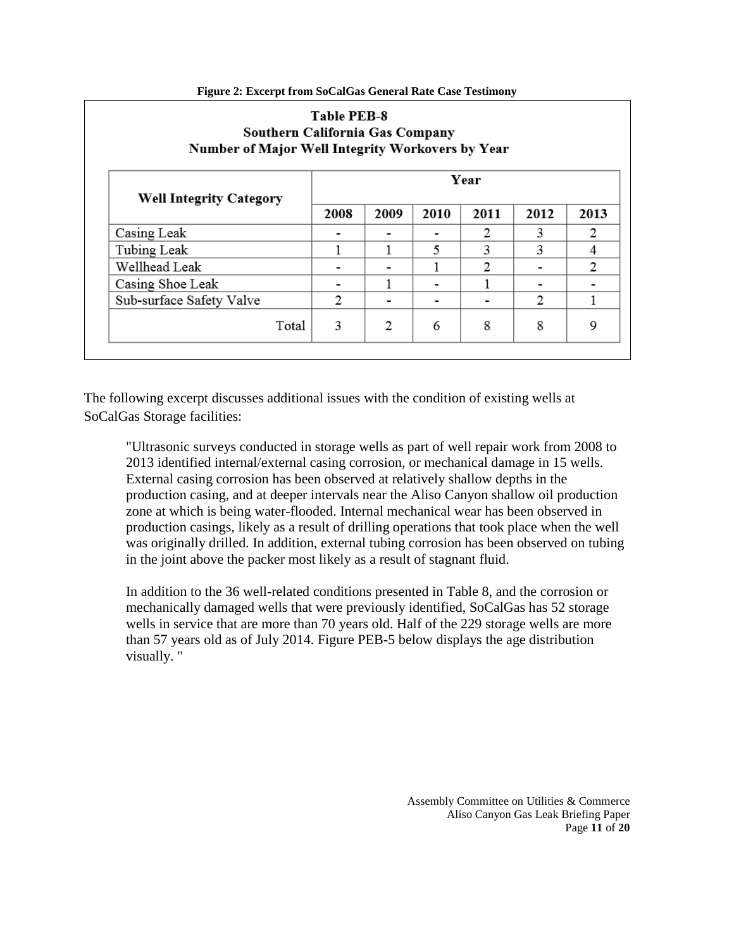|      |      |      | Year |      |      |
|------|------|------|------|------|------|
| 2008 | 2009 | 2010 | 2011 | 2012 | 2013 |
|      |      |      | 2    | 3    | 2    |
|      |      | 5    | 3    | 3    | 4    |
|      |      |      | 2    |      | 2    |
|      |      |      |      |      |      |
| 2    |      |      |      | 2    |      |
|      |      |      |      |      |      |

## Table PFR &

 The following excerpt discusses additional issues with the condition of existing wells at SoCalGas Storage facilities:

 "Ultrasonic surveys conducted in storage wells as part of well repair work from 2008 to 2013 identified internal/external casing corrosion, or mechanical damage in 15 wells. External casing corrosion has been observed at relatively shallow depths in the production casing, and at deeper intervals near the Aliso Canyon shallow oil production zone at which is being water-flooded. Internal mechanical wear has been observed in production casings, likely as a result of drilling operations that took place when the well was originally drilled. In addition, external tubing corrosion has been observed on tubing in the joint above the packer most likely as a result of stagnant fluid.

 In addition to the 36 well-related conditions presented in Table 8, and the corrosion or mechanically damaged wells that were previously identified, SoCalGas has 52 storage wells in service that are more than 70 years old. Half of the 229 storage wells are more than 57 years old as of July 2014. Figure PEB-5 below displays the age distribution visually. "

> Assembly Committee on Utilities & Commerce Aliso Canyon Gas Leak Briefing Paper Page **11** of **20**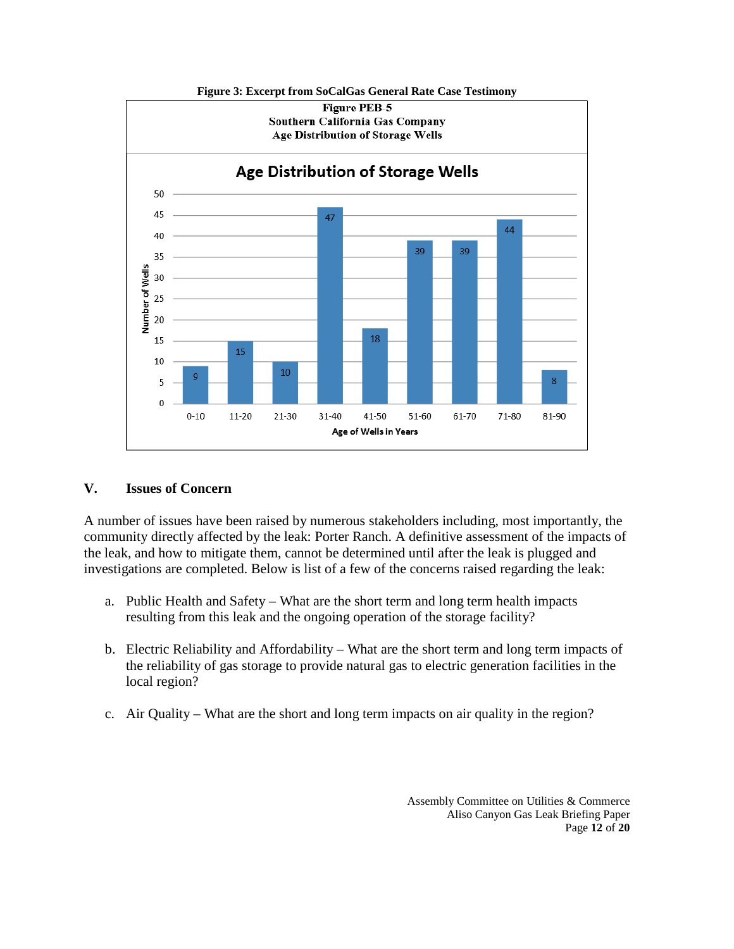

#### **V. Issues of Concern**

 A number of issues have been raised by numerous stakeholders including, most importantly, the community directly affected by the leak: Porter Ranch. A definitive assessment of the impacts of the leak, and how to mitigate them, cannot be determined until after the leak is plugged and investigations are completed. Below is list of a few of the concerns raised regarding the leak:

- a. Public Health and Safety What are the short term and long term health impacts resulting from this leak and the ongoing operation of the storage facility?
- b. Electric Reliability and Affordability What are the short term and long term impacts of the reliability of gas storage to provide natural gas to electric generation facilities in the local region?
- c. Air Quality What are the short and long term impacts on air quality in the region?

 Assembly Committee on Utilities & Commerce Aliso Canyon Gas Leak Briefing Paper Page **12** of **20**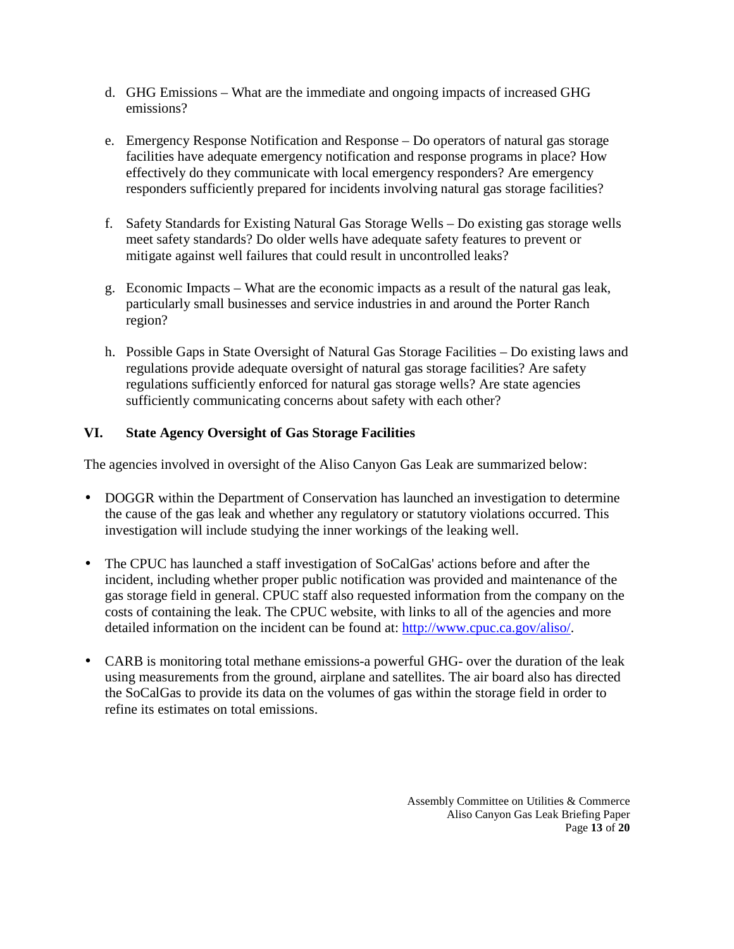- d. GHG Emissions What are the immediate and ongoing impacts of increased GHG emissions?
- e. Emergency Response Notification and Response Do operators of natural gas storage facilities have adequate emergency notification and response programs in place? How effectively do they communicate with local emergency responders? Are emergency responders sufficiently prepared for incidents involving natural gas storage facilities?
- f. Safety Standards for Existing Natural Gas Storage Wells Do existing gas storage wells meet safety standards? Do older wells have adequate safety features to prevent or mitigate against well failures that could result in uncontrolled leaks?
- g. Economic Impacts What are the economic impacts as a result of the natural gas leak, particularly small businesses and service industries in and around the Porter Ranch region?
- h. Possible Gaps in State Oversight of Natural Gas Storage Facilities Do existing laws and regulations provide adequate oversight of natural gas storage facilities? Are safety sufficiently communicating concerns about safety with each other? regulations sufficiently enforced for natural gas storage wells? Are state agencies

#### **VI. State Agency Oversight of Gas Storage Facilities**

The agencies involved in oversight of the Aliso Canyon Gas Leak are summarized below:

- DOGGR within the Department of Conservation has launched an investigation to determine the cause of the gas leak and whether any regulatory or statutory violations occurred. This investigation will include studying the inner workings of the leaking well.
- The CPUC has launched a staff investigation of SoCalGas' actions before and after the incident, including whether proper public notification was provided and maintenance of the gas storage field in general. CPUC staff also requested information from the company on the costs of containing the leak. The CPUC website, with links to all of the agencies and more detailed information on the incident can be found at: http://www.cpuc.ca.gov/aliso/.
- CARB is monitoring total methane emissions-a powerful GHG- over the duration of the leak using measurements from the ground, airplane and satellites. The air board also has directed the SoCalGas to provide its data on the volumes of gas within the storage field in order to refine its estimates on total emissions.

 Assembly Committee on Utilities & Commerce Aliso Canyon Gas Leak Briefing Paper Page **13** of **20**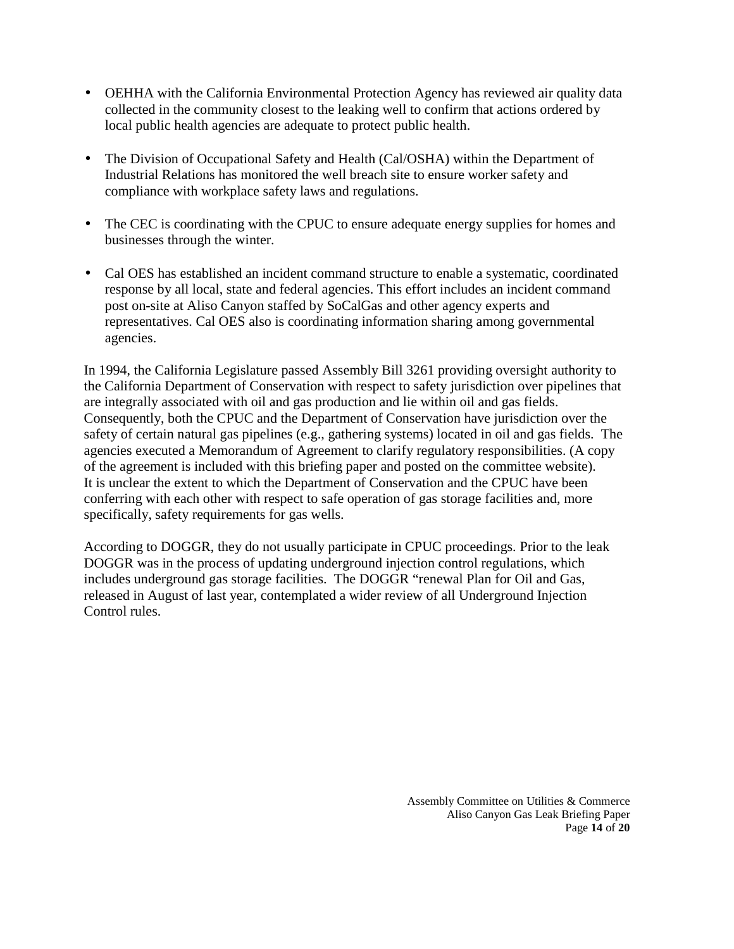- OEHHA with the California Environmental Protection Agency has reviewed air quality data collected in the community closest to the leaking well to confirm that actions ordered by local public health agencies are adequate to protect public health.
- The Division of Occupational Safety and Health (Cal/OSHA) within the Department of Industrial Relations has monitored the well breach site to ensure worker safety and compliance with workplace safety laws and regulations.
- The CEC is coordinating with the CPUC to ensure adequate energy supplies for homes and businesses through the winter.
- Cal OES has established an incident command structure to enable a systematic, coordinated response by all local, state and federal agencies. This effort includes an incident command post on-site at Aliso Canyon staffed by SoCalGas and other agency experts and representatives. Cal OES also is coordinating information sharing among governmental agencies.

 In 1994, the California Legislature passed Assembly Bill 3261 providing oversight authority to the California Department of Conservation with respect to safety jurisdiction over pipelines that are integrally associated with oil and gas production and lie within oil and gas fields. Consequently, both the CPUC and the Department of Conservation have jurisdiction over the safety of certain natural gas pipelines (e.g., gathering systems) located in oil and gas fields. The agencies executed a Memorandum of Agreement to clarify regulatory responsibilities. (A copy of the agreement is included with this briefing paper and posted on the committee website). It is unclear the extent to which the Department of Conservation and the CPUC have been conferring with each other with respect to safe operation of gas storage facilities and, more specifically, safety requirements for gas wells.

 According to DOGGR, they do not usually participate in CPUC proceedings. Prior to the leak DOGGR was in the process of updating underground injection control regulations, which includes underground gas storage facilities. The DOGGR "renewal Plan for Oil and Gas, released in August of last year, contemplated a wider review of all Underground Injection Control rules.

> Assembly Committee on Utilities & Commerce Aliso Canyon Gas Leak Briefing Paper Page **14** of **20**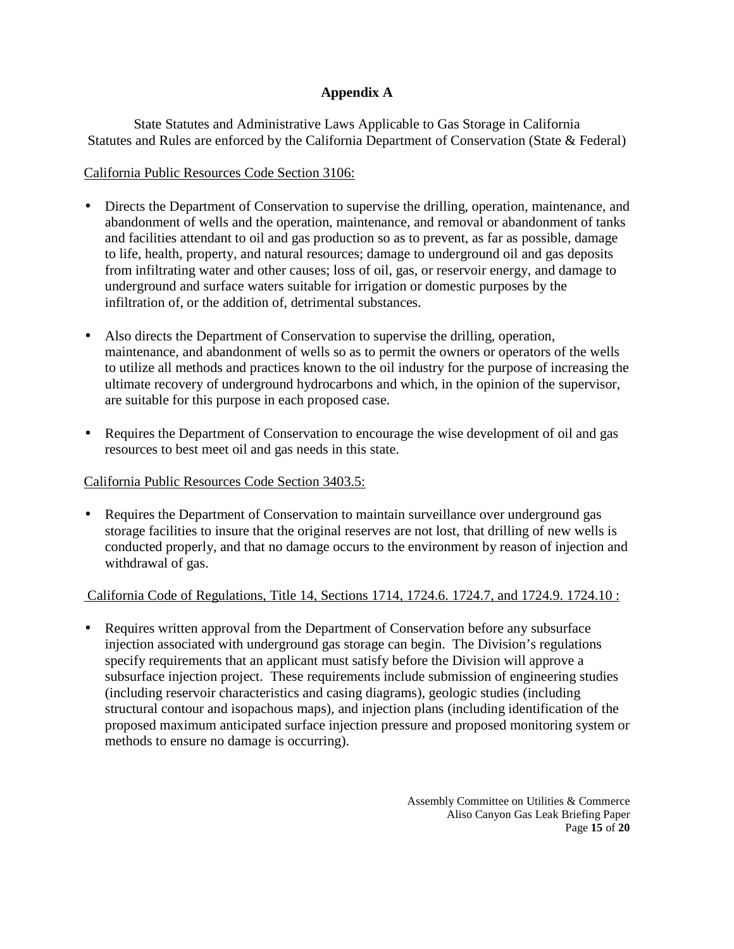#### **Appendix A**

State Statutes and Administrative Laws Applicable to Gas Storage in California Statutes and Rules are enforced by the California Department of Conservation (State & Federal)

#### California Public Resources Code Section 3106:

- Directs the Department of Conservation to supervise the drilling, operation, maintenance, and abandonment of wells and the operation, maintenance, and removal or abandonment of tanks and facilities attendant to oil and gas production so as to prevent, as far as possible, damage to life, health, property, and natural resources; damage to underground oil and gas deposits from infiltrating water and other causes; loss of oil, gas, or reservoir energy, and damage to underground and surface waters suitable for irrigation or domestic purposes by the infiltration of, or the addition of, detrimental substances.
- Also directs the Department of Conservation to supervise the drilling, operation, maintenance, and abandonment of wells so as to permit the owners or operators of the wells to utilize all methods and practices known to the oil industry for the purpose of increasing the ultimate recovery of underground hydrocarbons and which, in the opinion of the supervisor, are suitable for this purpose in each proposed case.
- Requires the Department of Conservation to encourage the wise development of oil and gas resources to best meet oil and gas needs in this state.

#### California Public Resources Code Section 3403.5:

• Requires the Department of Conservation to maintain surveillance over underground gas storage facilities to insure that the original reserves are not lost, that drilling of new wells is conducted properly, and that no damage occurs to the environment by reason of injection and withdrawal of gas.

#### California Code of Regulations, Title 14, Sections 1714, 1724.6. 1724.7, and 1724.9. 1724.10 :

• Requires written approval from the Department of Conservation before any subsurface injection associated with underground gas storage can begin. The Division's regulations specify requirements that an applicant must satisfy before the Division will approve a subsurface injection project. These requirements include submission of engineering studies (including reservoir characteristics and casing diagrams), geologic studies (including structural contour and isopachous maps), and injection plans (including identification of the proposed maximum anticipated surface injection pressure and proposed monitoring system or methods to ensure no damage is occurring).

> Assembly Committee on Utilities & Commerce Aliso Canyon Gas Leak Briefing Paper Page **15** of **20**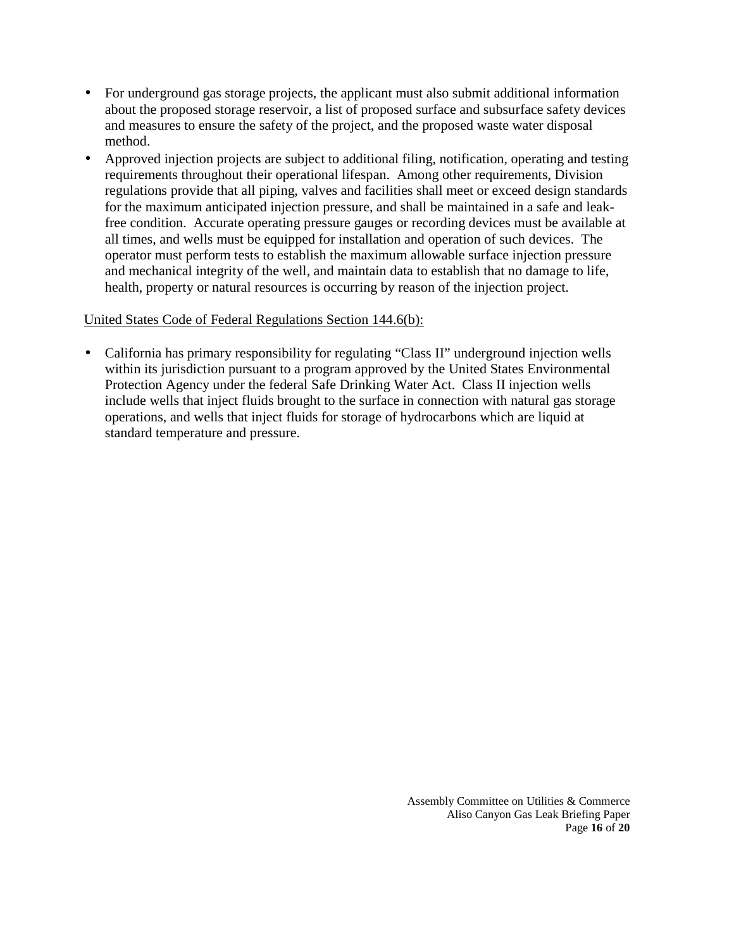- For underground gas storage projects, the applicant must also submit additional information about the proposed storage reservoir, a list of proposed surface and subsurface safety devices and measures to ensure the safety of the project, and the proposed waste water disposal method.
- Approved injection projects are subject to additional filing, notification, operating and testing requirements throughout their operational lifespan. Among other requirements, Division regulations provide that all piping, valves and facilities shall meet or exceed design standards for the maximum anticipated injection pressure, and shall be maintained in a safe and leakfree condition. Accurate operating pressure gauges or recording devices must be available at all times, and wells must be equipped for installation and operation of such devices. The operator must perform tests to establish the maximum allowable surface injection pressure and mechanical integrity of the well, and maintain data to establish that no damage to life, health, property or natural resources is occurring by reason of the injection project.

#### United States Code of Federal Regulations Section 144.6(b):

• California has primary responsibility for regulating "Class II" underground injection wells within its jurisdiction pursuant to a program approved by the United States Environmental Protection Agency under the federal Safe Drinking Water Act. Class II injection wells include wells that inject fluids brought to the surface in connection with natural gas storage operations, and wells that inject fluids for storage of hydrocarbons which are liquid at standard temperature and pressure.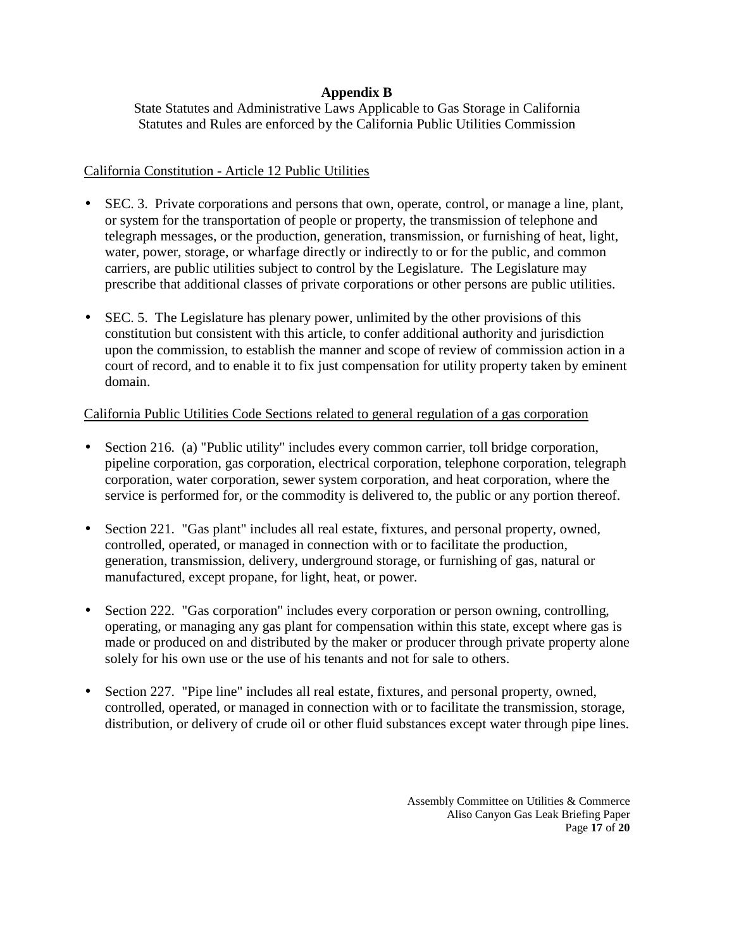#### **Appendix B**

State Statutes and Administrative Laws Applicable to Gas Storage in California Statutes and Rules are enforced by the California Public Utilities Commission

#### California Constitution - Article 12 Public Utilities

- SEC. 3. Private corporations and persons that own, operate, control, or manage a line, plant, or system for the transportation of people or property, the transmission of telephone and telegraph messages, or the production, generation, transmission, or furnishing of heat, light, water, power, storage, or wharfage directly or indirectly to or for the public, and common carriers, are public utilities subject to control by the Legislature. The Legislature may prescribe that additional classes of private corporations or other persons are public utilities.
- SEC. 5. The Legislature has plenary power, unlimited by the other provisions of this constitution but consistent with this article, to confer additional authority and jurisdiction upon the commission, to establish the manner and scope of review of commission action in a court of record, and to enable it to fix just compensation for utility property taken by eminent domain.

#### California Public Utilities Code Sections related to general regulation of a gas corporation

- Section 216. (a) "Public utility" includes every common carrier, toll bridge corporation, pipeline corporation, gas corporation, electrical corporation, telephone corporation, telegraph corporation, water corporation, sewer system corporation, and heat corporation, where the service is performed for, or the commodity is delivered to, the public or any portion thereof.
- Section 221. "Gas plant" includes all real estate, fixtures, and personal property, owned, controlled, operated, or managed in connection with or to facilitate the production, generation, transmission, delivery, underground storage, or furnishing of gas, natural or manufactured, except propane, for light, heat, or power.
- Section 222. "Gas corporation" includes every corporation or person owning, controlling, operating, or managing any gas plant for compensation within this state, except where gas is made or produced on and distributed by the maker or producer through private property alone solely for his own use or the use of his tenants and not for sale to others.
- Section 227. "Pipe line" includes all real estate, fixtures, and personal property, owned, controlled, operated, or managed in connection with or to facilitate the transmission, storage, distribution, or delivery of crude oil or other fluid substances except water through pipe lines.

Assembly Committee on Utilities & Commerce Aliso Canyon Gas Leak Briefing Paper Page **17** of **20**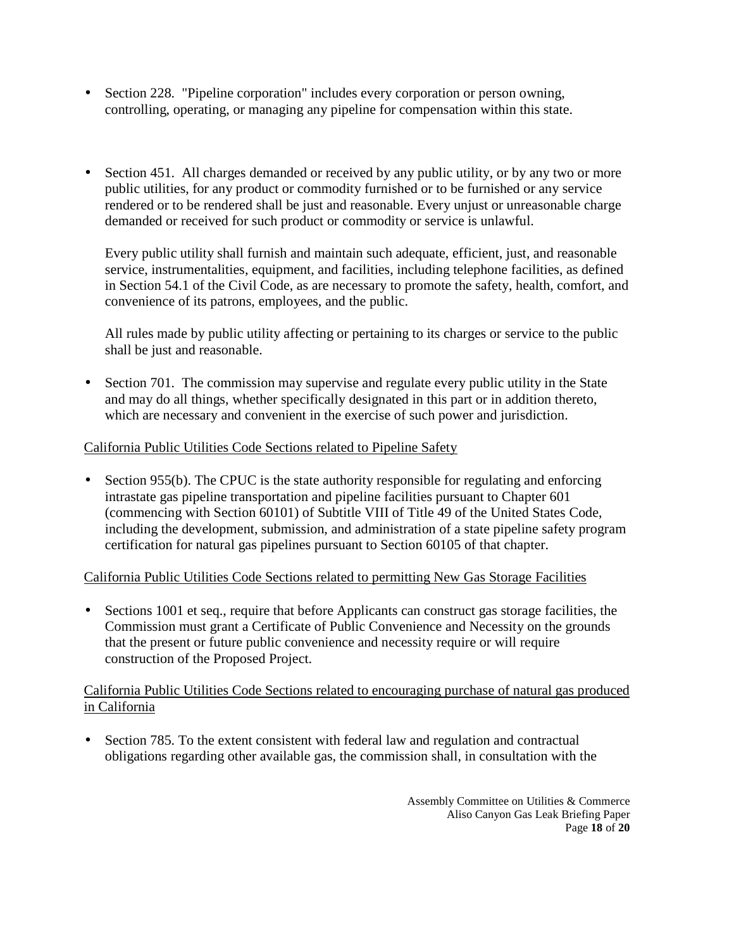- Section 228. "Pipeline corporation" includes every corporation or person owning, controlling, operating, or managing any pipeline for compensation within this state.
- Section 451. All charges demanded or received by any public utility, or by any two or more public utilities, for any product or commodity furnished or to be furnished or any service rendered or to be rendered shall be just and reasonable. Every unjust or unreasonable charge demanded or received for such product or commodity or service is unlawful.

Every public utility shall furnish and maintain such adequate, efficient, just, and reasonable service, instrumentalities, equipment, and facilities, including telephone facilities, as defined in Section 54.1 of the Civil Code, as are necessary to promote the safety, health, comfort, and convenience of its patrons, employees, and the public.

All rules made by public utility affecting or pertaining to its charges or service to the public shall be just and reasonable.

• Section 701. The commission may supervise and regulate every public utility in the State and may do all things, whether specifically designated in this part or in addition thereto, which are necessary and convenient in the exercise of such power and jurisdiction.

#### California Public Utilities Code Sections related to Pipeline Safety

• Section 955(b). The CPUC is the state authority responsible for regulating and enforcing intrastate gas pipeline transportation and pipeline facilities pursuant to Chapter 601 (commencing with Section 60101) of Subtitle VIII of Title 49 of the United States Code, including the development, submission, and administration of a state pipeline safety program certification for natural gas pipelines pursuant to Section 60105 of that chapter.

#### California Public Utilities Code Sections related to permitting New Gas Storage Facilities

• Sections 1001 et seq., require that before Applicants can construct gas storage facilities, the Commission must grant a Certificate of Public Convenience and Necessity on the grounds that the present or future public convenience and necessity require or will require construction of the Proposed Project.

#### California Public Utilities Code Sections related to encouraging purchase of natural gas produced in California

• Section 785. To the extent consistent with federal law and regulation and contractual obligations regarding other available gas, the commission shall, in consultation with the

> Assembly Committee on Utilities & Commerce Aliso Canyon Gas Leak Briefing Paper Page **18** of **20**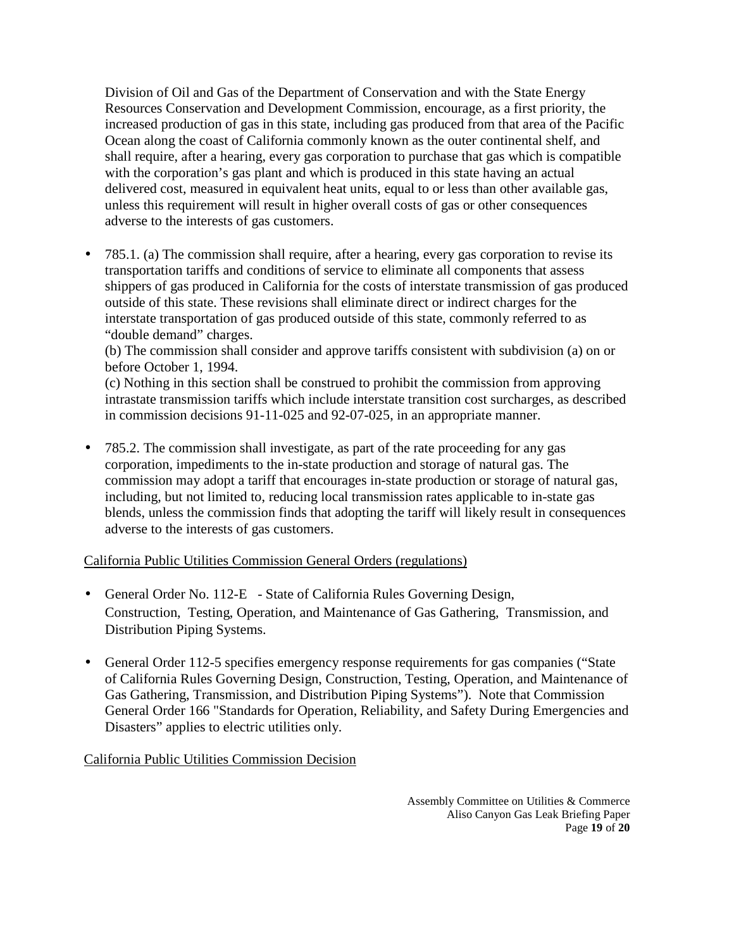Division of Oil and Gas of the Department of Conservation and with the State Energy Resources Conservation and Development Commission, encourage, as a first priority, the increased production of gas in this state, including gas produced from that area of the Pacific Ocean along the coast of California commonly known as the outer continental shelf, and shall require, after a hearing, every gas corporation to purchase that gas which is compatible with the corporation's gas plant and which is produced in this state having an actual delivered cost, measured in equivalent heat units, equal to or less than other available gas, unless this requirement will result in higher overall costs of gas or other consequences adverse to the interests of gas customers.

• 785.1. (a) The commission shall require, after a hearing, every gas corporation to revise its transportation tariffs and conditions of service to eliminate all components that assess shippers of gas produced in California for the costs of interstate transmission of gas produced outside of this state. These revisions shall eliminate direct or indirect charges for the interstate transportation of gas produced outside of this state, commonly referred to as "double demand" charges.

(b) The commission shall consider and approve tariffs consistent with subdivision (a) on or before October 1, 1994.

(c) Nothing in this section shall be construed to prohibit the commission from approving intrastate transmission tariffs which include interstate transition cost surcharges, as described in commission decisions 91-11-025 and 92-07-025, in an appropriate manner.

• 785.2. The commission shall investigate, as part of the rate proceeding for any gas corporation, impediments to the in-state production and storage of natural gas. The commission may adopt a tariff that encourages in-state production or storage of natural gas, including, but not limited to, reducing local transmission rates applicable to in-state gas blends, unless the commission finds that adopting the tariff will likely result in consequences adverse to the interests of gas customers.

#### California Public Utilities Commission General Orders (regulations)

- General Order No. 112-E State of California Rules Governing Design, Construction, Testing, Operation, and Maintenance of Gas Gathering, Transmission, and Distribution Piping Systems.
- General Order 112-5 specifies emergency response requirements for gas companies ("State") of California Rules Governing Design, Construction, Testing, Operation, and Maintenance of Gas Gathering, Transmission, and Distribution Piping Systems"). Note that Commission General Order 166 "Standards for Operation, Reliability, and Safety During Emergencies and Disasters" applies to electric utilities only.

California Public Utilities Commission Decision

Assembly Committee on Utilities & Commerce Aliso Canyon Gas Leak Briefing Paper Page **19** of **20**